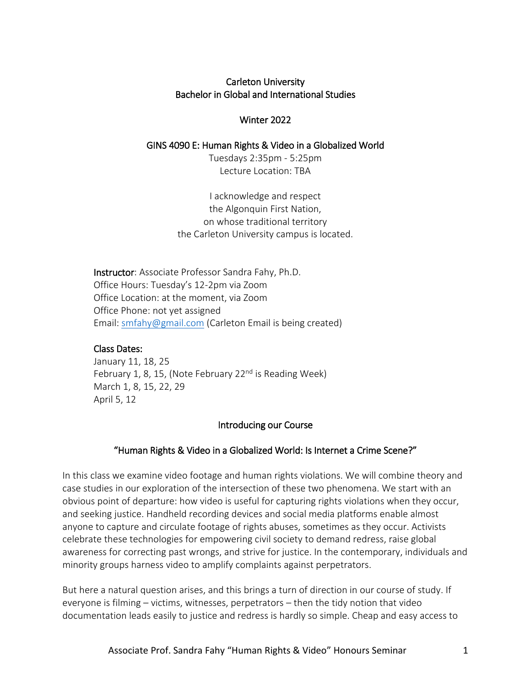### Carleton University Bachelor in Global and International Studies

### Winter 2022

### GINS 4090 E: Human Rights & Video in a Globalized World

Tuesdays 2:35pm - 5:25pm Lecture Location: TBA

I acknowledge and respect the Algonquin First Nation, on whose traditional territory the Carleton University campus is located.

Instructor: Associate Professor Sandra Fahy, Ph.D. Office Hours: Tuesday's 12-2pm via Zoom Office Location: at the moment, via Zoom Office Phone: not yet assigned Email: [smfahy@gmail.com](mailto:smfahy@gmail.com) (Carleton Email is being created)

### Class Dates:

January 11, 18, 25 February 1, 8, 15, (Note February 22<sup>nd</sup> is Reading Week) March 1, 8, 15, 22, 29 April 5, 12

### Introducing our Course

# "Human Rights & Video in a Globalized World: Is Internet a Crime Scene?"

In this class we examine video footage and human rights violations. We will combine theory and case studies in our exploration of the intersection of these two phenomena. We start with an obvious point of departure: how video is useful for capturing rights violations when they occur, and seeking justice. Handheld recording devices and social media platforms enable almost anyone to capture and circulate footage of rights abuses, sometimes as they occur. Activists celebrate these technologies for empowering civil society to demand redress, raise global awareness for correcting past wrongs, and strive for justice. In the contemporary, individuals and minority groups harness video to amplify complaints against perpetrators.

But here a natural question arises, and this brings a turn of direction in our course of study. If everyone is filming – victims, witnesses, perpetrators – then the tidy notion that video documentation leads easily to justice and redress is hardly so simple. Cheap and easy access to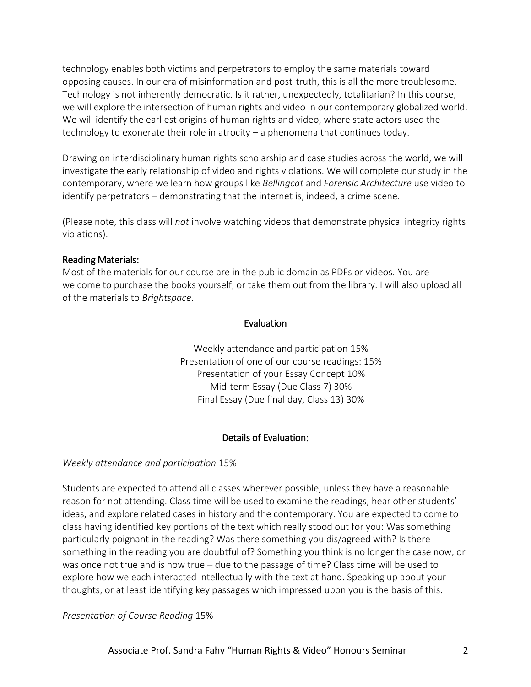technology enables both victims and perpetrators to employ the same materials toward opposing causes. In our era of misinformation and post-truth, this is all the more troublesome. Technology is not inherently democratic. Is it rather, unexpectedly, totalitarian? In this course, we will explore the intersection of human rights and video in our contemporary globalized world. We will identify the earliest origins of human rights and video, where state actors used the technology to exonerate their role in atrocity – a phenomena that continues today.

Drawing on interdisciplinary human rights scholarship and case studies across the world, we will investigate the early relationship of video and rights violations. We will complete our study in the contemporary, where we learn how groups like *Bellingcat* and *Forensic Architecture* use video to identify perpetrators – demonstrating that the internet is, indeed, a crime scene.

(Please note, this class will *not* involve watching videos that demonstrate physical integrity rights violations).

### Reading Materials:

Most of the materials for our course are in the public domain as PDFs or videos. You are welcome to purchase the books yourself, or take them out from the library. I will also upload all of the materials to *Brightspace*.

### Evaluation

Weekly attendance and participation 15% Presentation of one of our course readings: 15% Presentation of your Essay Concept 10% Mid-term Essay (Due Class 7) 30% Final Essay (Due final day, Class 13) 30%

### Details of Evaluation:

#### *Weekly attendance and participation* 15%

Students are expected to attend all classes wherever possible, unless they have a reasonable reason for not attending. Class time will be used to examine the readings, hear other students' ideas, and explore related cases in history and the contemporary. You are expected to come to class having identified key portions of the text which really stood out for you: Was something particularly poignant in the reading? Was there something you dis/agreed with? Is there something in the reading you are doubtful of? Something you think is no longer the case now, or was once not true and is now true – due to the passage of time? Class time will be used to explore how we each interacted intellectually with the text at hand. Speaking up about your thoughts, or at least identifying key passages which impressed upon you is the basis of this.

*Presentation of Course Reading* 15%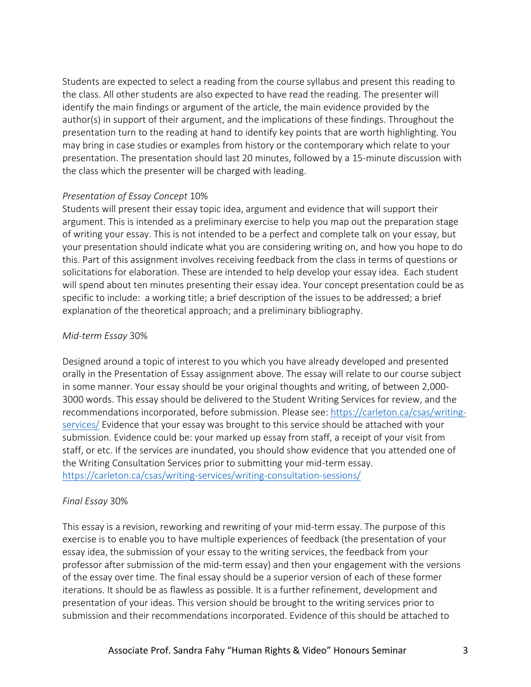Students are expected to select a reading from the course syllabus and present this reading to the class. All other students are also expected to have read the reading. The presenter will identify the main findings or argument of the article, the main evidence provided by the author(s) in support of their argument, and the implications of these findings. Throughout the presentation turn to the reading at hand to identify key points that are worth highlighting. You may bring in case studies or examples from history or the contemporary which relate to your presentation. The presentation should last 20 minutes, followed by a 15-minute discussion with the class which the presenter will be charged with leading.

#### *Presentation of Essay Concept* 10%

Students will present their essay topic idea, argument and evidence that will support their argument. This is intended as a preliminary exercise to help you map out the preparation stage of writing your essay. This is not intended to be a perfect and complete talk on your essay, but your presentation should indicate what you are considering writing on, and how you hope to do this. Part of this assignment involves receiving feedback from the class in terms of questions or solicitations for elaboration. These are intended to help develop your essay idea. Each student will spend about ten minutes presenting their essay idea. Your concept presentation could be as specific to include: a working title; a brief description of the issues to be addressed; a brief explanation of the theoretical approach; and a preliminary bibliography.

### *Mid-term Essay* 30%

Designed around a topic of interest to you which you have already developed and presented orally in the Presentation of Essay assignment above. The essay will relate to our course subject in some manner. Your essay should be your original thoughts and writing, of between 2,000- 3000 words. This essay should be delivered to the Student Writing Services for review, and the recommendations incorporated, before submission. Please see: [https://carleton.ca/csas/writing](https://carleton.ca/csas/writing-services/)[services/](https://carleton.ca/csas/writing-services/) Evidence that your essay was brought to this service should be attached with your submission. Evidence could be: your marked up essay from staff, a receipt of your visit from staff, or etc. If the services are inundated, you should show evidence that you attended one of the Writing Consultation Services prior to submitting your mid-term essay. <https://carleton.ca/csas/writing-services/writing-consultation-sessions/>

### *Final Essay* 30%

This essay is a revision, reworking and rewriting of your mid-term essay. The purpose of this exercise is to enable you to have multiple experiences of feedback (the presentation of your essay idea, the submission of your essay to the writing services, the feedback from your professor after submission of the mid-term essay) and then your engagement with the versions of the essay over time. The final essay should be a superior version of each of these former iterations. It should be as flawless as possible. It is a further refinement, development and presentation of your ideas. This version should be brought to the writing services prior to submission and their recommendations incorporated. Evidence of this should be attached to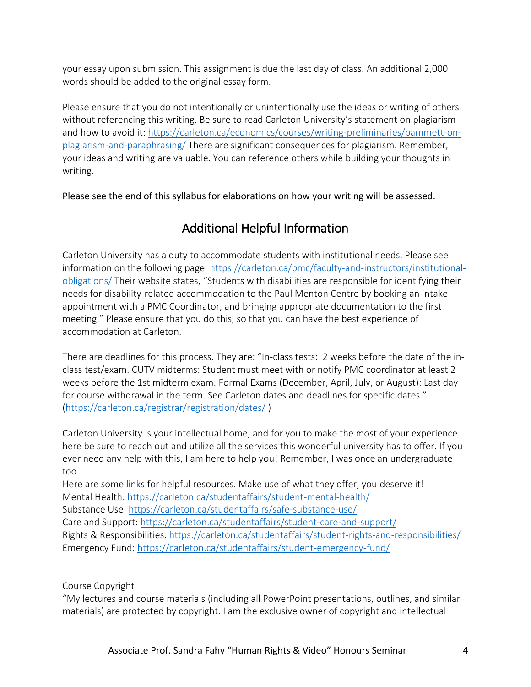your essay upon submission. This assignment is due the last day of class. An additional 2,000 words should be added to the original essay form.

Please ensure that you do not intentionally or unintentionally use the ideas or writing of others without referencing this writing. Be sure to read Carleton University's statement on plagiarism and how to avoid it[: https://carleton.ca/economics/courses/writing-preliminaries/pammett-on](https://carleton.ca/economics/courses/writing-preliminaries/pammett-on-plagiarism-and-paraphrasing/)[plagiarism-and-paraphrasing/](https://carleton.ca/economics/courses/writing-preliminaries/pammett-on-plagiarism-and-paraphrasing/) There are significant consequences for plagiarism. Remember, your ideas and writing are valuable. You can reference others while building your thoughts in writing.

Please see the end of this syllabus for elaborations on how your writing will be assessed.

# Additional Helpful Information

Carleton University has a duty to accommodate students with institutional needs. Please see information on the following page. [https://carleton.ca/pmc/faculty-and-instructors/institutional](https://carleton.ca/pmc/faculty-and-instructors/institutional-obligations/)[obligations/](https://carleton.ca/pmc/faculty-and-instructors/institutional-obligations/) Their website states, "Students with disabilities are responsible for identifying their needs for disability-related accommodation to the Paul Menton Centre by booking an intake appointment with a PMC Coordinator, and bringing appropriate documentation to the first meeting." Please ensure that you do this, so that you can have the best experience of accommodation at Carleton.

There are deadlines for this process. They are: "In-class tests: 2 weeks before the date of the inclass test/exam. CUTV midterms: Student must meet with or notify PMC coordinator at least 2 weeks before the 1st midterm exam. Formal Exams (December, April, July, or August): Last day for course withdrawal in the term. See Carleton dates and deadlines for specific dates." [\(https://carleton.ca/registrar/registration/dates/](https://carleton.ca/registrar/registration/dates/) )

Carleton University is your intellectual home, and for you to make the most of your experience here be sure to reach out and utilize all the services this wonderful university has to offer. If you ever need any help with this, I am here to help you! Remember, I was once an undergraduate too.

Here are some links for helpful resources. Make use of what they offer, you deserve it! Mental Health:<https://carleton.ca/studentaffairs/student-mental-health/> Substance Use:<https://carleton.ca/studentaffairs/safe-substance-use/> Care and Support:<https://carleton.ca/studentaffairs/student-care-and-support/> Rights & Responsibilities:<https://carleton.ca/studentaffairs/student-rights-and-responsibilities/> Emergency Fund:<https://carleton.ca/studentaffairs/student-emergency-fund/>

Course Copyright

"My lectures and course materials (including all PowerPoint presentations, outlines, and similar materials) are protected by copyright. I am the exclusive owner of copyright and intellectual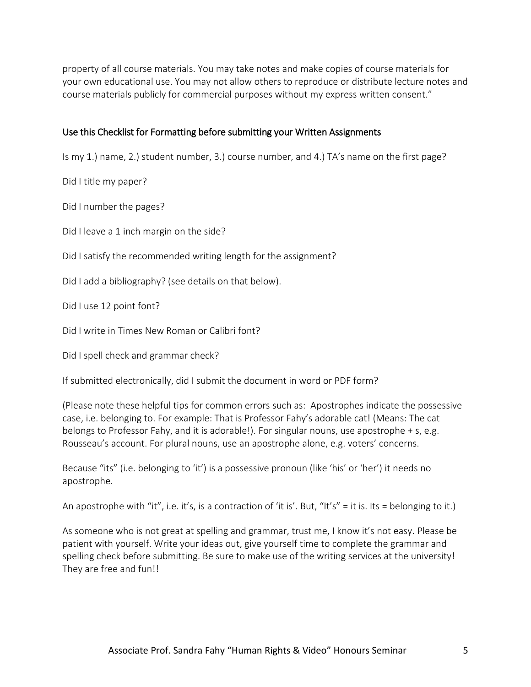property of all course materials. You may take notes and make copies of course materials for your own educational use. You may not allow others to reproduce or distribute lecture notes and course materials publicly for commercial purposes without my express written consent."

### Use this Checklist for Formatting before submitting your Written Assignments

Is my 1.) name, 2.) student number, 3.) course number, and 4.) TA's name on the first page?

Did I title my paper?

Did I number the pages?

Did I leave a 1 inch margin on the side?

Did I satisfy the recommended writing length for the assignment?

Did I add a bibliography? (see details on that below).

Did I use 12 point font?

Did I write in Times New Roman or Calibri font?

Did I spell check and grammar check?

If submitted electronically, did I submit the document in word or PDF form?

(Please note these helpful tips for common errors such as: Apostrophes indicate the possessive case, i.e. belonging to. For example: That is Professor Fahy's adorable cat! (Means: The cat belongs to Professor Fahy, and it is adorable!). For singular nouns, use apostrophe + s, e.g. Rousseau's account. For plural nouns, use an apostrophe alone, e.g. voters' concerns.

Because "its" (i.e. belonging to 'it') is a possessive pronoun (like 'his' or 'her') it needs no apostrophe.

An apostrophe with "it", i.e. it's, is a contraction of 'it is'. But, "It's" = it is. Its = belonging to it.)

As someone who is not great at spelling and grammar, trust me, I know it's not easy. Please be patient with yourself. Write your ideas out, give yourself time to complete the grammar and spelling check before submitting. Be sure to make use of the writing services at the university! They are free and fun!!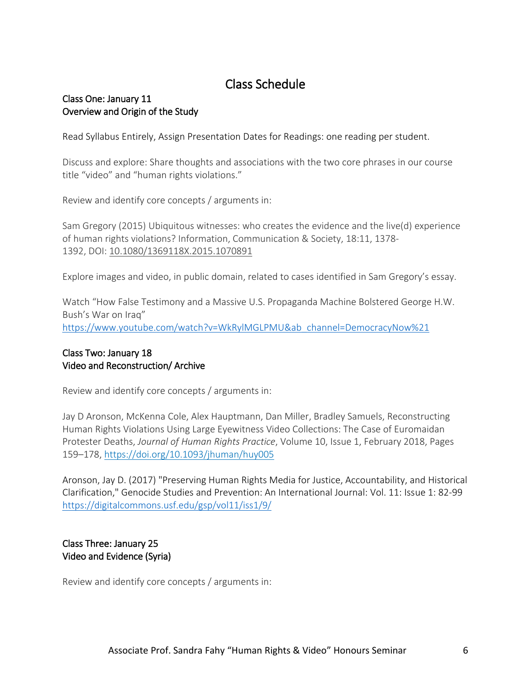# Class Schedule

### Class One: January 11 Overview and Origin of the Study

Read Syllabus Entirely, Assign Presentation Dates for Readings: one reading per student.

Discuss and explore: Share thoughts and associations with the two core phrases in our course title "video" and "human rights violations."

Review and identify core concepts / arguments in:

Sam Gregory (2015) Ubiquitous witnesses: who creates the evidence and the live(d) experience of human rights violations? Information, Communication & Society, 18:11, 1378- 1392, DOI: [10.1080/1369118X.2015.1070891](https://doi.org/10.1080/1369118X.2015.1070891)

Explore images and video, in public domain, related to cases identified in Sam Gregory's essay.

Watch "How False Testimony and a Massive U.S. Propaganda Machine Bolstered George H.W. Bush's War on Iraq" [https://www.youtube.com/watch?v=WkRylMGLPMU&ab\\_channel=DemocracyNow%21](https://www.youtube.com/watch?v=WkRylMGLPMU&ab_channel=DemocracyNow%21)

### Class Two: January 18 Video and Reconstruction/ Archive

Review and identify core concepts / arguments in:

Jay D Aronson, McKenna Cole, Alex Hauptmann, Dan Miller, Bradley Samuels, Reconstructing Human Rights Violations Using Large Eyewitness Video Collections: The Case of Euromaidan Protester Deaths, *Journal of Human Rights Practice*, Volume 10, Issue 1, February 2018, Pages 159–178, <https://doi.org/10.1093/jhuman/huy005>

Aronson, Jay D. (2017) "Preserving Human Rights Media for Justice, Accountability, and Historical Clarification," Genocide Studies and Prevention: An International Journal: Vol. 11: Issue 1: 82-99 <https://digitalcommons.usf.edu/gsp/vol11/iss1/9/>

### Class Three: January 25 Video and Evidence (Syria)

Review and identify core concepts / arguments in: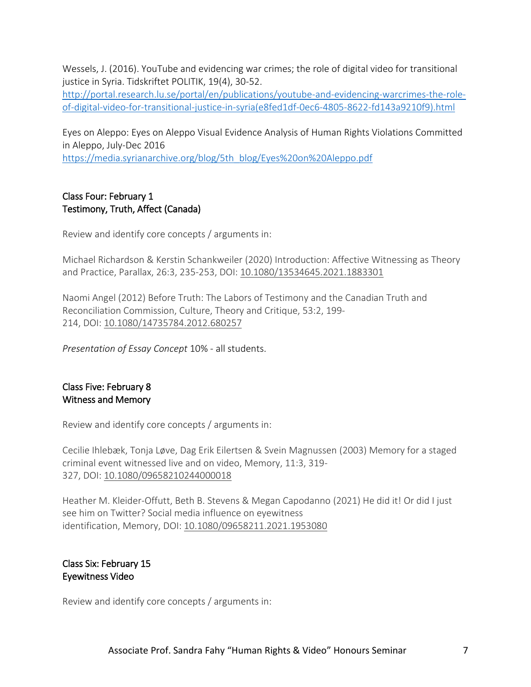Wessels, J. (2016). YouTube and evidencing war crimes; the role of digital video for transitional justice in Syria. Tidskriftet POLITIK, 19(4), 30-52.

[http://portal.research.lu.se/portal/en/publications/youtube-and-evidencing-warcrimes-the-role](http://portal.research.lu.se/portal/en/publications/youtube-and-evidencing-warcrimes-the-role-of-digital-video-for-transitional-justice-in-syria(e8fed1df-0ec6-4805-8622-fd143a9210f9).html)[of-digital-video-for-transitional-justice-in-syria\(e8fed1df-0ec6-4805-8622-fd143a9210f9\).html](http://portal.research.lu.se/portal/en/publications/youtube-and-evidencing-warcrimes-the-role-of-digital-video-for-transitional-justice-in-syria(e8fed1df-0ec6-4805-8622-fd143a9210f9).html)

Eyes on Aleppo: Eyes on Aleppo Visual Evidence Analysis of Human Rights Violations Committed in Aleppo, July-Dec 2016

[https://media.syrianarchive.org/blog/5th\\_blog/Eyes%20on%20Aleppo.pdf](https://media.syrianarchive.org/blog/5th_blog/Eyes%20on%20Aleppo.pdf)

### Class Four: February 1 Testimony, Truth, Affect (Canada)

Review and identify core concepts / arguments in:

Michael Richardson & Kerstin Schankweiler (2020) Introduction: Affective Witnessing as Theory and Practice, Parallax, 26:3, 235-253, DOI: [10.1080/13534645.2021.1883301](https://doi.org/10.1080/13534645.2021.1883301)

Naomi Angel (2012) Before Truth: The Labors of Testimony and the Canadian Truth and Reconciliation Commission, Culture, Theory and Critique, 53:2, 199- 214, DOI: [10.1080/14735784.2012.680257](https://doi.org/10.1080/14735784.2012.680257)

*Presentation of Essay Concept* 10% - all students.

### Class Five: February 8 Witness and Memory

Review and identify core concepts / arguments in:

Cecilie Ihlebæk, Tonja Løve, Dag Erik Eilertsen & Svein Magnussen (2003) Memory for a staged criminal event witnessed live and on video, Memory, 11:3, 319- 327, DOI: [10.1080/09658210244000018](https://doi.org/10.1080/09658210244000018)

Heather M. Kleider-Offutt, Beth B. Stevens & Megan Capodanno (2021) He did it! Or did I just see him on Twitter? Social media influence on eyewitness identification, Memory, DOI: [10.1080/09658211.2021.1953080](https://doi.org/10.1080/09658211.2021.1953080)

### Class Six: February 15 Eyewitness Video

Review and identify core concepts / arguments in: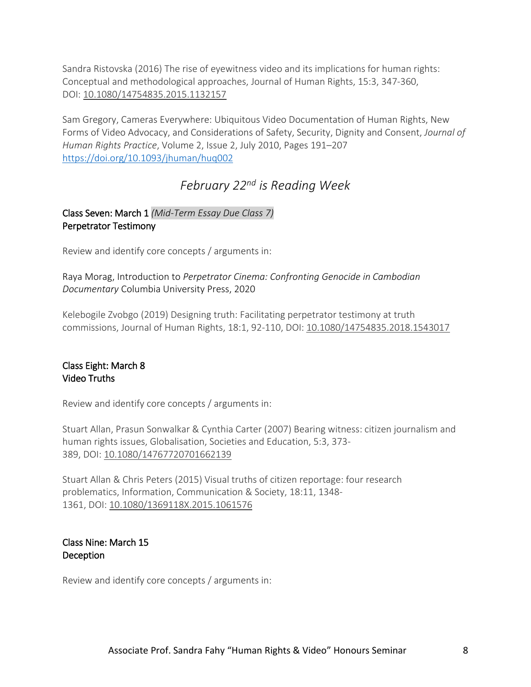Sandra Ristovska (2016) The rise of eyewitness video and its implications for human rights: Conceptual and methodological approaches, Journal of Human Rights, 15:3, 347-360, DOI: [10.1080/14754835.2015.1132157](https://doi.org/10.1080/14754835.2015.1132157)

Sam Gregory, Cameras Everywhere: Ubiquitous Video Documentation of Human Rights, New Forms of Video Advocacy, and Considerations of Safety, Security, Dignity and Consent, *Journal of Human Rights Practice*, Volume 2, Issue 2, July 2010, Pages 191–207 <https://doi.org/10.1093/jhuman/huq002>

# *February 22nd is Reading Week*

# Class Seven: March 1 *(Mid-Term Essay Due Class 7)* Perpetrator Testimony

Review and identify core concepts / arguments in:

Raya Morag, Introduction to *Perpetrator Cinema: Confronting Genocide in Cambodian Documentary* Columbia University Press, 2020

Kelebogile Zvobgo (2019) Designing truth: Facilitating perpetrator testimony at truth commissions, Journal of Human Rights, 18:1, 92-110, DOI: [10.1080/14754835.2018.1543017](https://doi.org/10.1080/14754835.2018.1543017)

# Class Eight: March 8 Video Truths

Review and identify core concepts / arguments in:

Stuart Allan, Prasun Sonwalkar & Cynthia Carter (2007) Bearing witness: citizen journalism and human rights issues, Globalisation, Societies and Education, 5:3, 373- 389, DOI: [10.1080/14767720701662139](https://doi.org/10.1080/14767720701662139)

Stuart Allan & Chris Peters (2015) Visual truths of citizen reportage: four research problematics, Information, Communication & Society, 18:11, 1348- 1361, DOI: [10.1080/1369118X.2015.1061576](https://doi.org/10.1080/1369118X.2015.1061576)

### Class Nine: March 15 **Deception**

Review and identify core concepts / arguments in: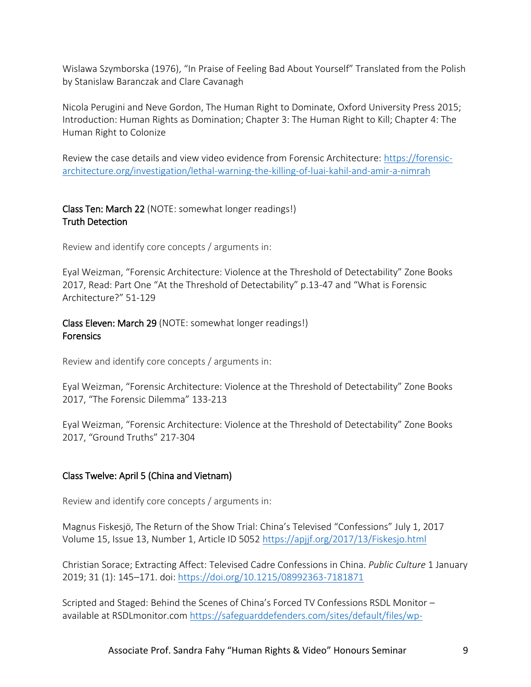Wislawa Szymborska (1976), "In Praise of Feeling Bad About Yourself" Translated from the Polish by Stanislaw Baranczak and Clare Cavanagh

Nicola Perugini and Neve Gordon, The Human Right to Dominate, Oxford University Press 2015; Introduction: Human Rights as Domination; Chapter 3: The Human Right to Kill; Chapter 4: The Human Right to Colonize

Review the case details and view video evidence from Forensic Architecture: [https://forensic](https://forensic-architecture.org/investigation/lethal-warning-the-killing-of-luai-kahil-and-amir-a-nimrah)[architecture.org/investigation/lethal-warning-the-killing-of-luai-kahil-and-amir-a-nimrah](https://forensic-architecture.org/investigation/lethal-warning-the-killing-of-luai-kahil-and-amir-a-nimrah) 

## Class Ten: March 22 (NOTE: somewhat longer readings!) Truth Detection

Review and identify core concepts / arguments in:

Eyal Weizman, "Forensic Architecture: Violence at the Threshold of Detectability" Zone Books 2017, Read: Part One "At the Threshold of Detectability" p.13-47 and "What is Forensic Architecture?" 51-129

Class Eleven: March 29 (NOTE: somewhat longer readings!) **Forensics** 

Review and identify core concepts / arguments in:

Eyal Weizman, "Forensic Architecture: Violence at the Threshold of Detectability" Zone Books 2017, "The Forensic Dilemma" 133-213

Eyal Weizman, "Forensic Architecture: Violence at the Threshold of Detectability" Zone Books 2017, "Ground Truths" 217-304

# Class Twelve: April 5 (China and Vietnam)

Review and identify core concepts / arguments in:

Magnus Fiskesjö, The Return of the Show Trial: China's Televised "Confessions" July 1, 2017 Volume 15, Issue 13, Number 1, Article ID 505[2 https://apjjf.org/2017/13/Fiskesjo.html](https://apjjf.org/2017/13/Fiskesjo.html)

Christian Sorace; Extracting Affect: Televised Cadre Confessions in China. *Public Culture* 1 January 2019; 31 (1): 145–171. doi: <https://doi.org/10.1215/08992363-7181871>

Scripted and Staged: Behind the Scenes of China's Forced TV Confessions RSDL Monitor – available at RSDLmonitor.com [https://safeguarddefenders.com/sites/default/files/wp-](https://safeguarddefenders.com/sites/default/files/wp-rsdl/uploads/2018/04/SCRIPTED-AND-STAGED-Behind-the-scenes-of-Chinas-forced-televised-confessions.pdf)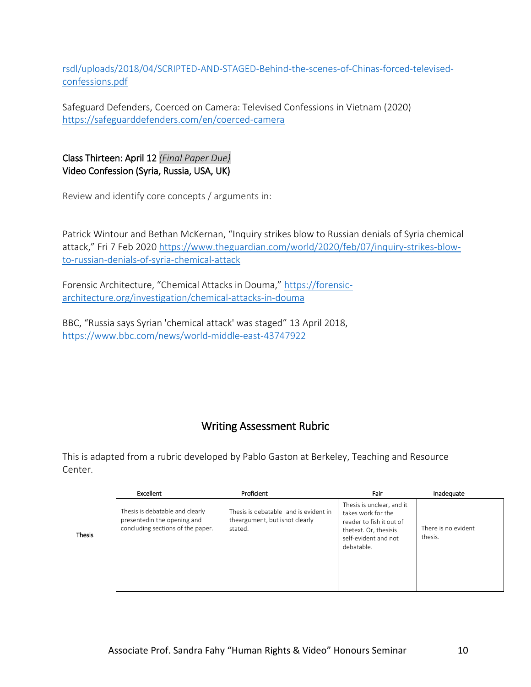[rsdl/uploads/2018/04/SCRIPTED-AND-STAGED-Behind-the-scenes-of-Chinas-forced-televised](https://safeguarddefenders.com/sites/default/files/wp-rsdl/uploads/2018/04/SCRIPTED-AND-STAGED-Behind-the-scenes-of-Chinas-forced-televised-confessions.pdf)[confessions.pdf](https://safeguarddefenders.com/sites/default/files/wp-rsdl/uploads/2018/04/SCRIPTED-AND-STAGED-Behind-the-scenes-of-Chinas-forced-televised-confessions.pdf)

Safeguard Defenders, Coerced on Camera: Televised Confessions in Vietnam (2020) <https://safeguarddefenders.com/en/coerced-camera>

Class Thirteen: April 12 *(Final Paper Due)* Video Confession (Syria, Russia, USA, UK)

Thesis

Review and identify core concepts / arguments in:

Patrick Wintour and Bethan McKernan, "Inquiry strikes blow to Russian denials of Syria chemical attack," Fri 7 Feb 2020 [https://www.theguardian.com/world/2020/feb/07/inquiry-strikes-blow](https://www.theguardian.com/world/2020/feb/07/inquiry-strikes-blow-to-russian-denials-of-syria-chemical-attack)[to-russian-denials-of-syria-chemical-attack](https://www.theguardian.com/world/2020/feb/07/inquiry-strikes-blow-to-russian-denials-of-syria-chemical-attack)

Forensic Architecture, "Chemical Attacks in Douma," [https://forensic](https://forensic-architecture.org/investigation/chemical-attacks-in-douma)[architecture.org/investigation/chemical-attacks-in-douma](https://forensic-architecture.org/investigation/chemical-attacks-in-douma)

BBC, "Russia says Syrian 'chemical attack' was staged" 13 April 2018, <https://www.bbc.com/news/world-middle-east-43747922>

# Writing Assessment Rubric

This is adapted from a rubric developed by Pablo Gaston at Berkeley, Teaching and Resource Center.

| Excellent                                                                                           | Proficient                                                                         | Fair                                                                                                                                       | Inadequate                     |
|-----------------------------------------------------------------------------------------------------|------------------------------------------------------------------------------------|--------------------------------------------------------------------------------------------------------------------------------------------|--------------------------------|
| Thesis is debatable and clearly<br>presentedin the opening and<br>concluding sections of the paper. | Thesis is debatable and is evident in<br>theargument, but isnot clearly<br>stated. | Thesis is unclear, and it<br>takes work for the<br>reader to fish it out of<br>thetext. Or, thesisis<br>self-evident and not<br>debatable. | There is no evident<br>thesis. |

Associate Prof. Sandra Fahy "Human Rights & Video" Honours Seminar 10